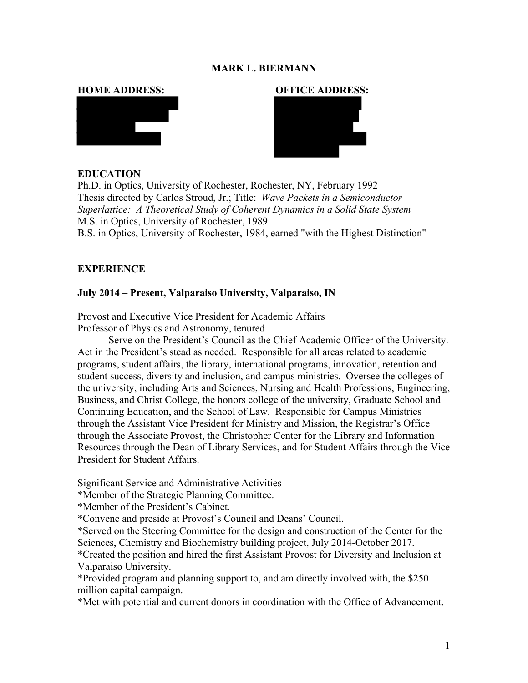### **MARK L. BIERMANN**



#### **HOME ADDRESS: OFFICE ADDRESS:**



#### **EDUCATION**

Ph.D. in Optics, University of Rochester, Rochester, NY, February 1992 Thesis directed by Carlos Stroud, Jr.; Title: *Wave Packets in a Semiconductor Superlattice: A Theoretical Study of Coherent Dynamics in a Solid State System* M.S. in Optics, University of Rochester, 1989 B.S. in Optics, University of Rochester, 1984, earned "with the Highest Distinction"

#### **EXPERIENCE**

#### **July 2014 – Present, Valparaiso University, Valparaiso, IN**

Provost and Executive Vice President for Academic Affairs Professor of Physics and Astronomy, tenured

Serve on the President's Council as the Chief Academic Officer of the University. Act in the President's stead as needed. Responsible for all areas related to academic programs, student affairs, the library, international programs, innovation, retention and student success, diversity and inclusion, and campus ministries. Oversee the colleges of the university, including Arts and Sciences, Nursing and Health Professions, Engineering, Business, and Christ College, the honors college of the university, Graduate School and Continuing Education, and the School of Law. Responsible for Campus Ministries through the Assistant Vice President for Ministry and Mission, the Registrar's Office through the Associate Provost, the Christopher Center for the Library and Information Resources through the Dean of Library Services, and for Student Affairs through the Vice President for Student Affairs.

Significant Service and Administrative Activities

\*Member of the Strategic Planning Committee.

\*Member of the President's Cabinet.

\*Convene and preside at Provost's Council and Deans' Council.

\*Served on the Steering Committee for the design and construction of the Center for the Sciences, Chemistry and Biochemistry building project, July 2014-October 2017.

\*Created the position and hired the first Assistant Provost for Diversity and Inclusion at Valparaiso University.

\*Provided program and planning support to, and am directly involved with, the \$250 million capital campaign.

\*Met with potential and current donors in coordination with the Office of Advancement.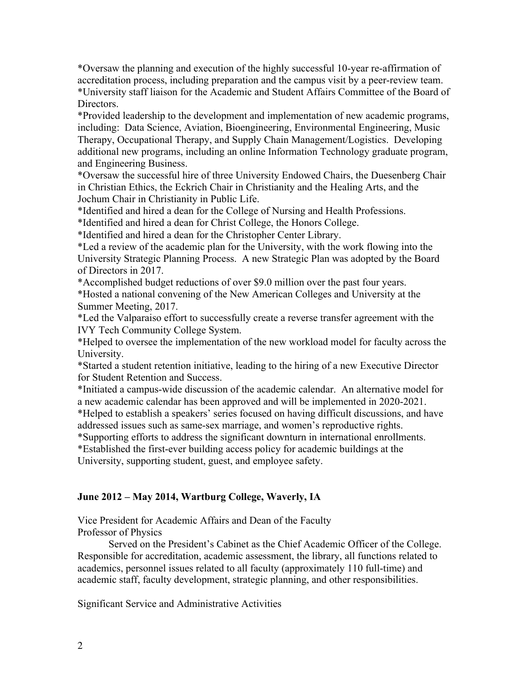\*Oversaw the planning and execution of the highly successful 10-year re-affirmation of accreditation process, including preparation and the campus visit by a peer-review team. \*University staff liaison for the Academic and Student Affairs Committee of the Board of Directors.

\*Provided leadership to the development and implementation of new academic programs, including: Data Science, Aviation, Bioengineering, Environmental Engineering, Music Therapy, Occupational Therapy, and Supply Chain Management/Logistics. Developing additional new programs, including an online Information Technology graduate program, and Engineering Business.

\*Oversaw the successful hire of three University Endowed Chairs, the Duesenberg Chair in Christian Ethics, the Eckrich Chair in Christianity and the Healing Arts, and the Jochum Chair in Christianity in Public Life.

\*Identified and hired a dean for the College of Nursing and Health Professions.

\*Identified and hired a dean for Christ College, the Honors College.

\*Identified and hired a dean for the Christopher Center Library.

\*Led a review of the academic plan for the University, with the work flowing into the University Strategic Planning Process. A new Strategic Plan was adopted by the Board of Directors in 2017.

\*Accomplished budget reductions of over \$9.0 million over the past four years.

\*Hosted a national convening of the New American Colleges and University at the Summer Meeting, 2017.

\*Led the Valparaiso effort to successfully create a reverse transfer agreement with the IVY Tech Community College System.

\*Helped to oversee the implementation of the new workload model for faculty across the University.

\*Started a student retention initiative, leading to the hiring of a new Executive Director for Student Retention and Success.

\*Initiated a campus-wide discussion of the academic calendar. An alternative model for a new academic calendar has been approved and will be implemented in 2020-2021.

\*Helped to establish a speakers' series focused on having difficult discussions, and have addressed issues such as same-sex marriage, and women's reproductive rights.

\*Supporting efforts to address the significant downturn in international enrollments.

\*Established the first-ever building access policy for academic buildings at the University, supporting student, guest, and employee safety.

# **June 2012 – May 2014, Wartburg College, Waverly, IA**

Vice President for Academic Affairs and Dean of the Faculty Professor of Physics

Served on the President's Cabinet as the Chief Academic Officer of the College. Responsible for accreditation, academic assessment, the library, all functions related to academics, personnel issues related to all faculty (approximately 110 full-time) and academic staff, faculty development, strategic planning, and other responsibilities.

Significant Service and Administrative Activities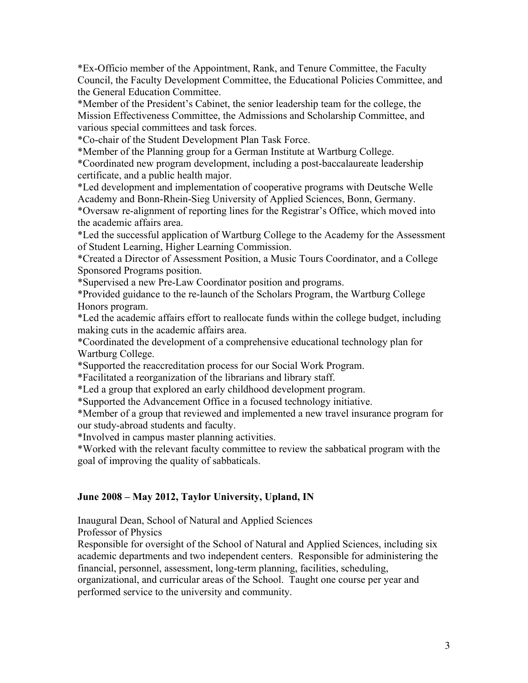\*Ex-Officio member of the Appointment, Rank, and Tenure Committee, the Faculty Council, the Faculty Development Committee, the Educational Policies Committee, and the General Education Committee.

\*Member of the President's Cabinet, the senior leadership team for the college, the Mission Effectiveness Committee, the Admissions and Scholarship Committee, and various special committees and task forces.

\*Co-chair of the Student Development Plan Task Force.

\*Member of the Planning group for a German Institute at Wartburg College.

\*Coordinated new program development, including a post-baccalaureate leadership certificate, and a public health major.

\*Led development and implementation of cooperative programs with Deutsche Welle Academy and Bonn-Rhein-Sieg University of Applied Sciences, Bonn, Germany.

\*Oversaw re-alignment of reporting lines for the Registrar's Office, which moved into the academic affairs area.

\*Led the successful application of Wartburg College to the Academy for the Assessment of Student Learning, Higher Learning Commission.

\*Created a Director of Assessment Position, a Music Tours Coordinator, and a College Sponsored Programs position.

\*Supervised a new Pre-Law Coordinator position and programs.

\*Provided guidance to the re-launch of the Scholars Program, the Wartburg College Honors program.

\*Led the academic affairs effort to reallocate funds within the college budget, including making cuts in the academic affairs area.

\*Coordinated the development of a comprehensive educational technology plan for Wartburg College.

\*Supported the reaccreditation process for our Social Work Program.

\*Facilitated a reorganization of the librarians and library staff.

\*Led a group that explored an early childhood development program.

\*Supported the Advancement Office in a focused technology initiative.

\*Member of a group that reviewed and implemented a new travel insurance program for our study-abroad students and faculty.

\*Involved in campus master planning activities.

\*Worked with the relevant faculty committee to review the sabbatical program with the goal of improving the quality of sabbaticals.

# **June 2008 – May 2012, Taylor University, Upland, IN**

Inaugural Dean, School of Natural and Applied Sciences Professor of Physics

Responsible for oversight of the School of Natural and Applied Sciences, including six academic departments and two independent centers. Responsible for administering the financial, personnel, assessment, long-term planning, facilities, scheduling,

organizational, and curricular areas of the School. Taught one course per year and performed service to the university and community.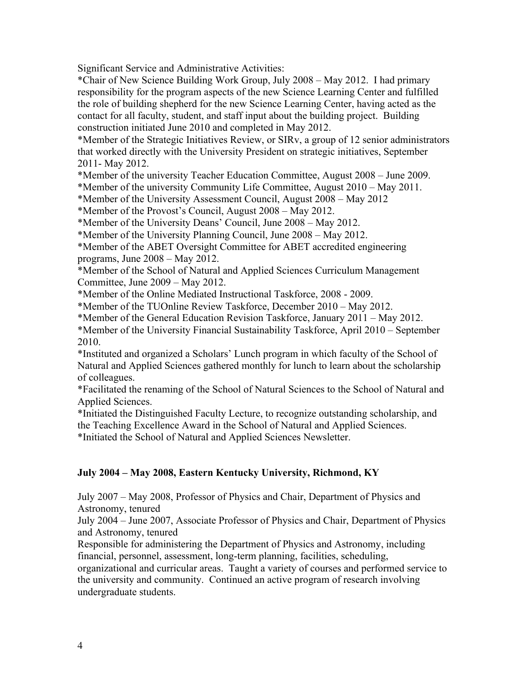Significant Service and Administrative Activities:

\*Chair of New Science Building Work Group, July 2008 – May 2012. I had primary responsibility for the program aspects of the new Science Learning Center and fulfilled the role of building shepherd for the new Science Learning Center, having acted as the contact for all faculty, student, and staff input about the building project. Building construction initiated June 2010 and completed in May 2012.

\*Member of the Strategic Initiatives Review, or SIRv, a group of 12 senior administrators that worked directly with the University President on strategic initiatives, September 2011- May 2012.

\*Member of the university Teacher Education Committee, August 2008 – June 2009.

\*Member of the university Community Life Committee, August 2010 – May 2011.

\*Member of the University Assessment Council, August 2008 – May 2012

\*Member of the Provost's Council, August 2008 – May 2012.

\*Member of the University Deans' Council, June 2008 – May 2012.

\*Member of the University Planning Council, June 2008 – May 2012.

\*Member of the ABET Oversight Committee for ABET accredited engineering programs, June 2008 – May 2012.

\*Member of the School of Natural and Applied Sciences Curriculum Management Committee, June 2009 – May 2012.

\*Member of the Online Mediated Instructional Taskforce, 2008 - 2009.

\*Member of the TUOnline Review Taskforce, December 2010 – May 2012.

\*Member of the General Education Revision Taskforce, January 2011 – May 2012.

\*Member of the University Financial Sustainability Taskforce, April 2010 – September 2010.

\*Instituted and organized a Scholars' Lunch program in which faculty of the School of Natural and Applied Sciences gathered monthly for lunch to learn about the scholarship of colleagues.

\*Facilitated the renaming of the School of Natural Sciences to the School of Natural and Applied Sciences.

\*Initiated the Distinguished Faculty Lecture, to recognize outstanding scholarship, and the Teaching Excellence Award in the School of Natural and Applied Sciences. \*Initiated the School of Natural and Applied Sciences Newsletter.

# **July 2004 – May 2008, Eastern Kentucky University, Richmond, KY**

July 2007 – May 2008, Professor of Physics and Chair, Department of Physics and Astronomy, tenured

July 2004 – June 2007, Associate Professor of Physics and Chair, Department of Physics and Astronomy, tenured

Responsible for administering the Department of Physics and Astronomy, including financial, personnel, assessment, long-term planning, facilities, scheduling,

organizational and curricular areas. Taught a variety of courses and performed service to the university and community. Continued an active program of research involving undergraduate students.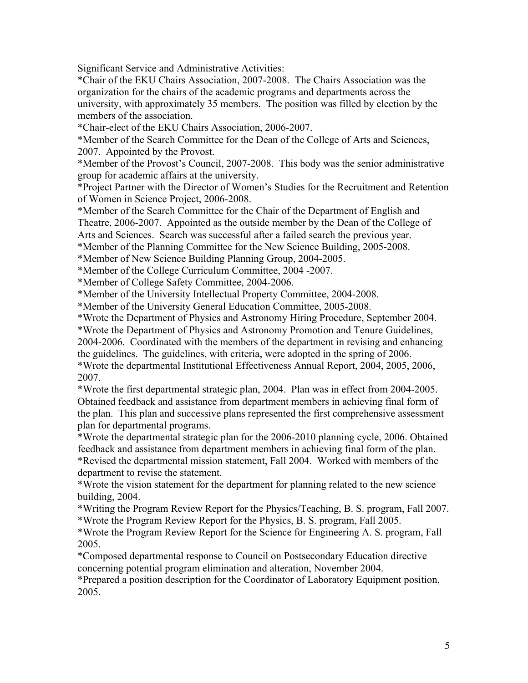Significant Service and Administrative Activities:

\*Chair of the EKU Chairs Association, 2007-2008. The Chairs Association was the organization for the chairs of the academic programs and departments across the university, with approximately 35 members. The position was filled by election by the members of the association.

\*Chair-elect of the EKU Chairs Association, 2006-2007.

\*Member of the Search Committee for the Dean of the College of Arts and Sciences, 2007. Appointed by the Provost.

\*Member of the Provost's Council, 2007-2008. This body was the senior administrative group for academic affairs at the university.

\*Project Partner with the Director of Women's Studies for the Recruitment and Retention of Women in Science Project, 2006-2008.

\*Member of the Search Committee for the Chair of the Department of English and Theatre, 2006-2007. Appointed as the outside member by the Dean of the College of Arts and Sciences. Search was successful after a failed search the previous year.

\*Member of the Planning Committee for the New Science Building, 2005-2008.

\*Member of New Science Building Planning Group, 2004-2005.

\*Member of the College Curriculum Committee, 2004 -2007.

\*Member of College Safety Committee, 2004-2006.

\*Member of the University Intellectual Property Committee, 2004-2008.

\*Member of the University General Education Committee, 2005-2008.

\*Wrote the Department of Physics and Astronomy Hiring Procedure, September 2004.

\*Wrote the Department of Physics and Astronomy Promotion and Tenure Guidelines,

2004-2006. Coordinated with the members of the department in revising and enhancing the guidelines. The guidelines, with criteria, were adopted in the spring of 2006. \*Wrote the departmental Institutional Effectiveness Annual Report, 2004, 2005, 2006,

2007.

\*Wrote the first departmental strategic plan, 2004. Plan was in effect from 2004-2005. Obtained feedback and assistance from department members in achieving final form of the plan. This plan and successive plans represented the first comprehensive assessment plan for departmental programs.

\*Wrote the departmental strategic plan for the 2006-2010 planning cycle, 2006. Obtained feedback and assistance from department members in achieving final form of the plan. \*Revised the departmental mission statement, Fall 2004. Worked with members of the department to revise the statement.

\*Wrote the vision statement for the department for planning related to the new science building, 2004.

\*Writing the Program Review Report for the Physics/Teaching, B. S. program, Fall 2007. \*Wrote the Program Review Report for the Physics, B. S. program, Fall 2005.

\*Wrote the Program Review Report for the Science for Engineering A. S. program, Fall 2005.

\*Composed departmental response to Council on Postsecondary Education directive concerning potential program elimination and alteration, November 2004.

\*Prepared a position description for the Coordinator of Laboratory Equipment position, 2005.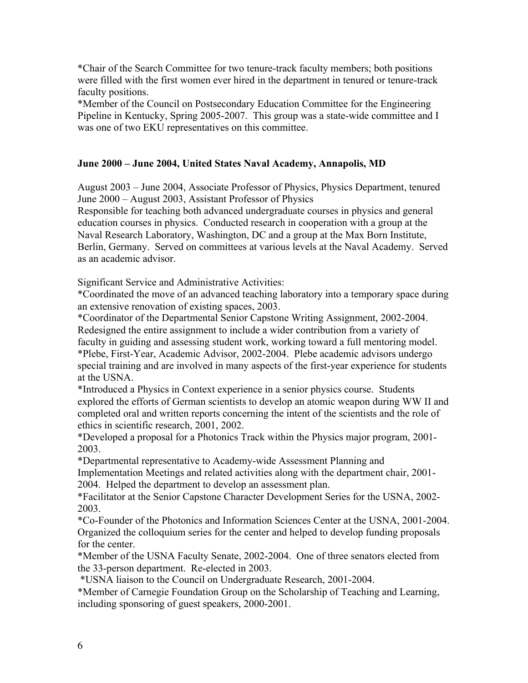\*Chair of the Search Committee for two tenure-track faculty members; both positions were filled with the first women ever hired in the department in tenured or tenure-track faculty positions.

\*Member of the Council on Postsecondary Education Committee for the Engineering Pipeline in Kentucky, Spring 2005-2007. This group was a state-wide committee and I was one of two EKU representatives on this committee.

## **June 2000 – June 2004, United States Naval Academy, Annapolis, MD**

August 2003 – June 2004, Associate Professor of Physics, Physics Department, tenured June 2000 – August 2003, Assistant Professor of Physics

Responsible for teaching both advanced undergraduate courses in physics and general education courses in physics. Conducted research in cooperation with a group at the Naval Research Laboratory, Washington, DC and a group at the Max Born Institute, Berlin, Germany. Served on committees at various levels at the Naval Academy. Served as an academic advisor.

Significant Service and Administrative Activities:

\*Coordinated the move of an advanced teaching laboratory into a temporary space during an extensive renovation of existing spaces, 2003.

\*Coordinator of the Departmental Senior Capstone Writing Assignment, 2002-2004. Redesigned the entire assignment to include a wider contribution from a variety of faculty in guiding and assessing student work, working toward a full mentoring model. \*Plebe, First-Year, Academic Advisor, 2002-2004. Plebe academic advisors undergo special training and are involved in many aspects of the first-year experience for students at the USNA.

\*Introduced a Physics in Context experience in a senior physics course. Students explored the efforts of German scientists to develop an atomic weapon during WW II and completed oral and written reports concerning the intent of the scientists and the role of ethics in scientific research, 2001, 2002.

\*Developed a proposal for a Photonics Track within the Physics major program, 2001- 2003.

\*Departmental representative to Academy-wide Assessment Planning and Implementation Meetings and related activities along with the department chair, 2001- 2004. Helped the department to develop an assessment plan.

\*Facilitator at the Senior Capstone Character Development Series for the USNA, 2002- 2003.

\*Co-Founder of the Photonics and Information Sciences Center at the USNA, 2001-2004. Organized the colloquium series for the center and helped to develop funding proposals for the center.

\*Member of the USNA Faculty Senate, 2002-2004. One of three senators elected from the 33-person department. Re-elected in 2003.

\*USNA liaison to the Council on Undergraduate Research, 2001-2004.

\*Member of Carnegie Foundation Group on the Scholarship of Teaching and Learning, including sponsoring of guest speakers, 2000-2001.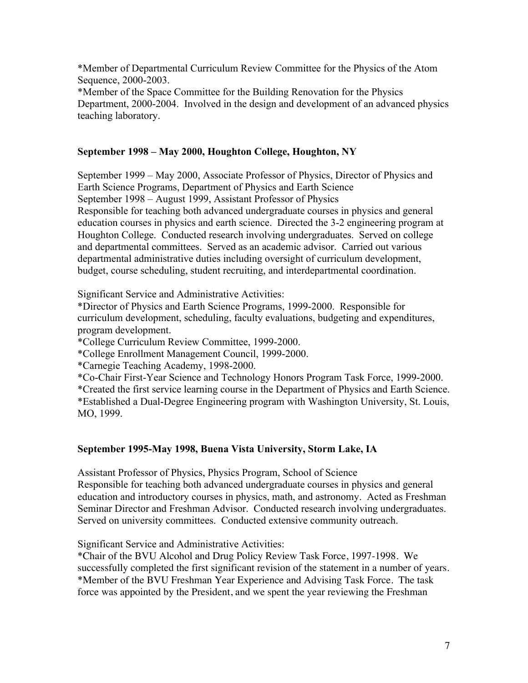\*Member of Departmental Curriculum Review Committee for the Physics of the Atom Sequence, 2000-2003.

\*Member of the Space Committee for the Building Renovation for the Physics Department, 2000-2004. Involved in the design and development of an advanced physics teaching laboratory.

# **September 1998 – May 2000, Houghton College, Houghton, NY**

September 1999 – May 2000, Associate Professor of Physics, Director of Physics and Earth Science Programs, Department of Physics and Earth Science September 1998 – August 1999, Assistant Professor of Physics Responsible for teaching both advanced undergraduate courses in physics and general education courses in physics and earth science. Directed the 3-2 engineering program at Houghton College. Conducted research involving undergraduates. Served on college and departmental committees. Served as an academic advisor. Carried out various departmental administrative duties including oversight of curriculum development, budget, course scheduling, student recruiting, and interdepartmental coordination.

Significant Service and Administrative Activities:

\*Director of Physics and Earth Science Programs, 1999-2000. Responsible for curriculum development, scheduling, faculty evaluations, budgeting and expenditures, program development.

\*College Curriculum Review Committee, 1999-2000.

\*College Enrollment Management Council, 1999-2000.

\*Carnegie Teaching Academy, 1998-2000.

\*Co-Chair First-Year Science and Technology Honors Program Task Force, 1999-2000.

\*Created the first service learning course in the Department of Physics and Earth Science. \*Established a Dual-Degree Engineering program with Washington University, St. Louis, MO, 1999.

# **September 1995-May 1998, Buena Vista University, Storm Lake, IA**

Assistant Professor of Physics, Physics Program, School of Science Responsible for teaching both advanced undergraduate courses in physics and general education and introductory courses in physics, math, and astronomy. Acted as Freshman Seminar Director and Freshman Advisor. Conducted research involving undergraduates. Served on university committees. Conducted extensive community outreach.

Significant Service and Administrative Activities:

\*Chair of the BVU Alcohol and Drug Policy Review Task Force, 1997-1998. We successfully completed the first significant revision of the statement in a number of years. \*Member of the BVU Freshman Year Experience and Advising Task Force. The task force was appointed by the President, and we spent the year reviewing the Freshman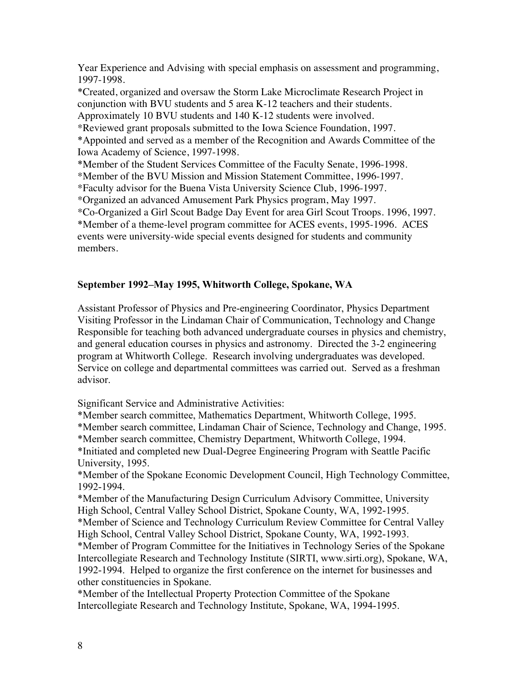Year Experience and Advising with special emphasis on assessment and programming, 1997-1998.

\*Created, organized and oversaw the Storm Lake Microclimate Research Project in conjunction with BVU students and 5 area K-12 teachers and their students.

Approximately 10 BVU students and 140 K-12 students were involved.

\*Reviewed grant proposals submitted to the Iowa Science Foundation, 1997.

\*Appointed and served as a member of the Recognition and Awards Committee of the Iowa Academy of Science, 1997-1998.

\*Member of the Student Services Committee of the Faculty Senate, 1996-1998.

\*Member of the BVU Mission and Mission Statement Committee, 1996-1997.

\*Faculty advisor for the Buena Vista University Science Club, 1996-1997.

\*Organized an advanced Amusement Park Physics program, May 1997.

\*Co-Organized a Girl Scout Badge Day Event for area Girl Scout Troops. 1996, 1997.

\*Member of a theme-level program committee for ACES events, 1995-1996. ACES events were university-wide special events designed for students and community members.

### **September 1992–May 1995, Whitworth College, Spokane, WA**

Assistant Professor of Physics and Pre-engineering Coordinator, Physics Department Visiting Professor in the Lindaman Chair of Communication, Technology and Change Responsible for teaching both advanced undergraduate courses in physics and chemistry, and general education courses in physics and astronomy. Directed the 3-2 engineering program at Whitworth College. Research involving undergraduates was developed. Service on college and departmental committees was carried out. Served as a freshman advisor.

Significant Service and Administrative Activities:

\*Member search committee, Mathematics Department, Whitworth College, 1995.

\*Member search committee, Lindaman Chair of Science, Technology and Change, 1995.

\*Member search committee, Chemistry Department, Whitworth College, 1994.

\*Initiated and completed new Dual-Degree Engineering Program with Seattle Pacific University, 1995.

\*Member of the Spokane Economic Development Council, High Technology Committee, 1992-1994.

\*Member of the Manufacturing Design Curriculum Advisory Committee, University High School, Central Valley School District, Spokane County, WA, 1992-1995.

\*Member of Science and Technology Curriculum Review Committee for Central Valley High School, Central Valley School District, Spokane County, WA, 1992-1993.

\*Member of Program Committee for the Initiatives in Technology Series of the Spokane Intercollegiate Research and Technology Institute (SIRTI, www.sirti.org), Spokane, WA, 1992-1994. Helped to organize the first conference on the internet for businesses and other constituencies in Spokane.

\*Member of the Intellectual Property Protection Committee of the Spokane Intercollegiate Research and Technology Institute, Spokane, WA, 1994-1995.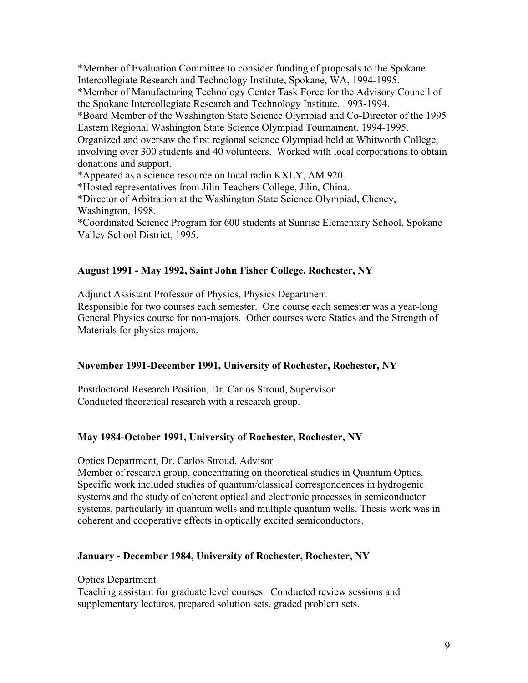\*Member of Evaluation Committee to consider funding of proposals to the Spokane Intercollegiate Research and Technology Institute, Spokane, WA, 1994-1995. \*Member of Manufacturing Technology Center Task Force for the Advisory Council of the Spokane Intercollegiate Research and Technology Institute, 1993-1994. \*Board Member of the Washington State Science Olympiad and Co-Director of the 1995 Eastern Regional Washington State Science Olympiad Tournament, 1994-1995. Organized and oversaw the first regional science Olympiad held at Whitworth College, involving over 300 students and 40 volunteers. Worked with local corporations to obtain donations and support.

\*Appeared as a science resource on local radio KXLY, AM 920.

\*Hosted representatives from Jilin Teachers College, Jilin, China.

\*Director of Arbitration at the Washington State Science Olympiad, Cheney, Washington, 1998.

\*Coordinated Science Program for 600 students at Sunrise Elementary School, Spokane Valley School District, 1995.

### **August 1991 - May 1992, Saint John Fisher College, Rochester, NY**

Adjunct Assistant Professor of Physics, Physics Department

Responsible for two courses each semester. One course each semester was a year-long General Physics course for non-majors. Other courses were Statics and the Strength of Materials for physics majors.

#### **November 1991-December 1991, University of Rochester, Rochester, NY**

Postdoctoral Research Position, Dr. Carlos Stroud, Supervisor Conducted theoretical research with a research group.

# **May 1984-October 1991, University of Rochester, Rochester, NY**

Optics Department, Dr. Carlos Stroud, Advisor

Member of research group, concentrating on theoretical studies in Quantum Optics. Specific work included studies of quantum/classical correspondences in hydrogenic systems and the study of coherent optical and electronic processes in semiconductor systems, particularly in quantum wells and multiple quantum wells. Thesis work was in coherent and cooperative effects in optically excited semiconductors.

#### **January - December 1984, University of Rochester, Rochester, NY**

Optics Department

Teaching assistant for graduate level courses. Conducted review sessions and supplementary lectures, prepared solution sets, graded problem sets.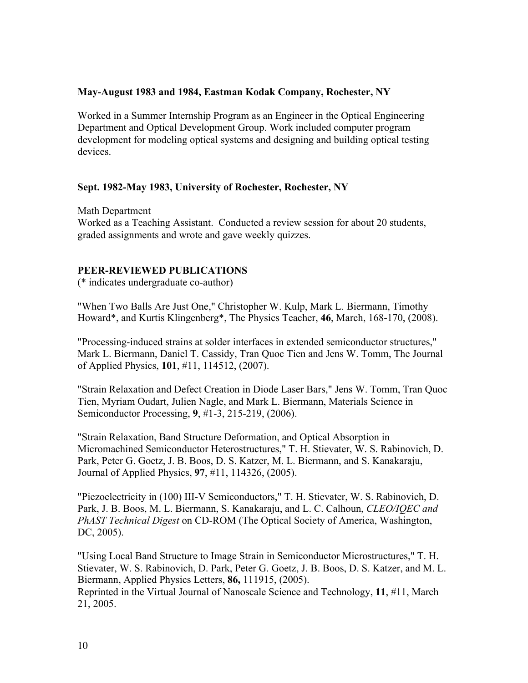#### **May-August 1983 and 1984, Eastman Kodak Company, Rochester, NY**

Worked in a Summer Internship Program as an Engineer in the Optical Engineering Department and Optical Development Group. Work included computer program development for modeling optical systems and designing and building optical testing devices.

### **Sept. 1982-May 1983, University of Rochester, Rochester, NY**

Math Department Worked as a Teaching Assistant. Conducted a review session for about 20 students, graded assignments and wrote and gave weekly quizzes.

### **PEER-REVIEWED PUBLICATIONS**

(\* indicates undergraduate co-author)

"When Two Balls Are Just One," Christopher W. Kulp, Mark L. Biermann, Timothy Howard\*, and Kurtis Klingenberg\*, The Physics Teacher, **46**, March, 168-170, (2008).

"Processing-induced strains at solder interfaces in extended semiconductor structures," Mark L. Biermann, Daniel T. Cassidy, Tran Quoc Tien and Jens W. Tomm, The Journal of Applied Physics, **101**, #11, 114512, (2007).

"Strain Relaxation and Defect Creation in Diode Laser Bars," Jens W. Tomm, Tran Quoc Tien, Myriam Oudart, Julien Nagle, and Mark L. Biermann, Materials Science in Semiconductor Processing, **9**, #1-3, 215-219, (2006).

"Strain Relaxation, Band Structure Deformation, and Optical Absorption in Micromachined Semiconductor Heterostructures," T. H. Stievater, W. S. Rabinovich, D. Park, Peter G. Goetz, J. B. Boos, D. S. Katzer, M. L. Biermann, and S. Kanakaraju, Journal of Applied Physics, **97**, #11, 114326, (2005).

"Piezoelectricity in (100) III-V Semiconductors," T. H. Stievater, W. S. Rabinovich, D. Park, J. B. Boos, M. L. Biermann, S. Kanakaraju, and L. C. Calhoun, *CLEO/IQEC and PhAST Technical Digest* on CD-ROM (The Optical Society of America, Washington, DC, 2005).

"Using Local Band Structure to Image Strain in Semiconductor Microstructures," T. H. Stievater, W. S. Rabinovich, D. Park, Peter G. Goetz, J. B. Boos, D. S. Katzer, and M. L. Biermann, Applied Physics Letters, **86,** 111915, (2005). Reprinted in the Virtual Journal of Nanoscale Science and Technology, **11**, #11, March 21, 2005.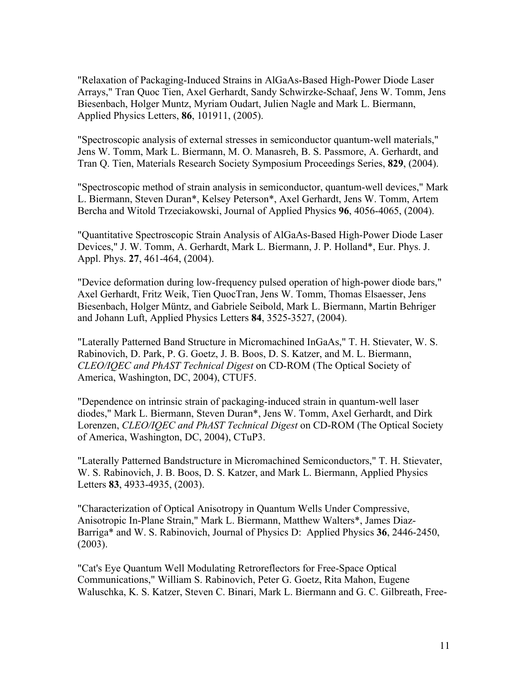"Relaxation of Packaging-Induced Strains in AlGaAs-Based High-Power Diode Laser Arrays," Tran Quoc Tien, Axel Gerhardt, Sandy Schwirzke-Schaaf, Jens W. Tomm, Jens Biesenbach, Holger Muntz, Myriam Oudart, Julien Nagle and Mark L. Biermann, Applied Physics Letters, **86**, 101911, (2005).

"Spectroscopic analysis of external stresses in semiconductor quantum-well materials," Jens W. Tomm, Mark L. Biermann, M. O. Manasreh, B. S. Passmore, A. Gerhardt, and Tran Q. Tien, Materials Research Society Symposium Proceedings Series, **829**, (2004).

"Spectroscopic method of strain analysis in semiconductor, quantum-well devices," Mark L. Biermann, Steven Duran\*, Kelsey Peterson\*, Axel Gerhardt, Jens W. Tomm, Artem Bercha and Witold Trzeciakowski, Journal of Applied Physics **96**, 4056-4065, (2004).

"Quantitative Spectroscopic Strain Analysis of AlGaAs-Based High-Power Diode Laser Devices," J. W. Tomm, A. Gerhardt, Mark L. Biermann, J. P. Holland\*, Eur. Phys. J. Appl. Phys. **27**, 461-464, (2004).

"Device deformation during low-frequency pulsed operation of high-power diode bars," Axel Gerhardt, Fritz Weik, Tien QuocTran, Jens W. Tomm, Thomas Elsaesser, Jens Biesenbach, Holger Müntz, and Gabriele Seibold, Mark L. Biermann, Martin Behriger and Johann Luft, Applied Physics Letters **84**, 3525-3527, (2004).

"Laterally Patterned Band Structure in Micromachined InGaAs," T. H. Stievater, W. S. Rabinovich, D. Park, P. G. Goetz, J. B. Boos, D. S. Katzer, and M. L. Biermann, *CLEO/IQEC and PhAST Technical Digest* on CD-ROM (The Optical Society of America, Washington, DC, 2004), CTUF5.

"Dependence on intrinsic strain of packaging-induced strain in quantum-well laser diodes," Mark L. Biermann, Steven Duran\*, Jens W. Tomm, Axel Gerhardt, and Dirk Lorenzen, *CLEO/IQEC and PhAST Technical Digest* on CD-ROM (The Optical Society of America, Washington, DC, 2004), CTuP3.

"Laterally Patterned Bandstructure in Micromachined Semiconductors," T. H. Stievater, W. S. Rabinovich, J. B. Boos, D. S. Katzer, and Mark L. Biermann, Applied Physics Letters **83**, 4933-4935, (2003).

"Characterization of Optical Anisotropy in Quantum Wells Under Compressive, Anisotropic In-Plane Strain," Mark L. Biermann, Matthew Walters\*, James Diaz-Barriga\* and W. S. Rabinovich, Journal of Physics D: Applied Physics **36**, 2446-2450, (2003).

"Cat's Eye Quantum Well Modulating Retroreflectors for Free-Space Optical Communications," William S. Rabinovich, Peter G. Goetz, Rita Mahon, Eugene Waluschka, K. S. Katzer, Steven C. Binari, Mark L. Biermann and G. C. Gilbreath, Free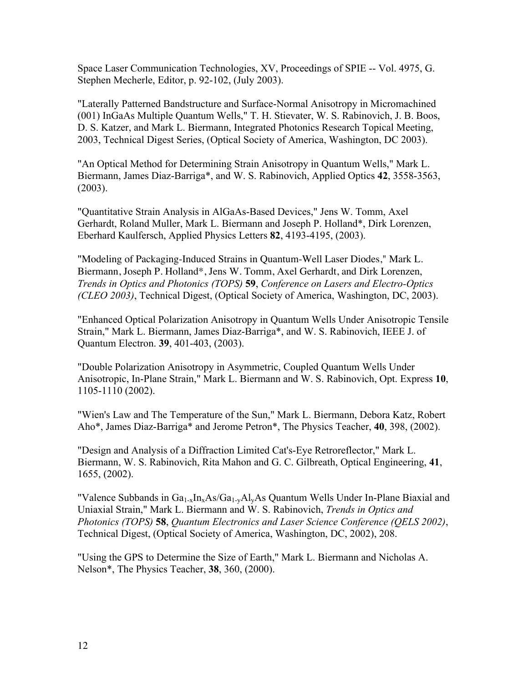Space Laser Communication Technologies, XV, Proceedings of SPIE -- Vol. 4975, G. Stephen Mecherle, Editor, p. 92-102, (July 2003).

"Laterally Patterned Bandstructure and Surface-Normal Anisotropy in Micromachined (001) InGaAs Multiple Quantum Wells," T. H. Stievater, W. S. Rabinovich, J. B. Boos, D. S. Katzer, and Mark L. Biermann, Integrated Photonics Research Topical Meeting, 2003, Technical Digest Series, (Optical Society of America, Washington, DC 2003).

"An Optical Method for Determining Strain Anisotropy in Quantum Wells," Mark L. Biermann, James Diaz-Barriga\*, and W. S. Rabinovich, Applied Optics **42**, 3558-3563, (2003).

"Quantitative Strain Analysis in AlGaAs-Based Devices," Jens W. Tomm, Axel Gerhardt, Roland Muller, Mark L. Biermann and Joseph P. Holland\*, Dirk Lorenzen, Eberhard Kaulfersch, Applied Physics Letters **82**, 4193-4195, (2003).

"Modeling of Packaging-Induced Strains in Quantum-Well Laser Diodes," Mark L. Biermann, Joseph P. Holland\*, Jens W. Tomm, Axel Gerhardt, and Dirk Lorenzen, *Trends in Optics and Photonics (TOPS)* **59**, *Conference on Lasers and Electro-Optics (CLEO 2003)*, Technical Digest, (Optical Society of America, Washington, DC, 2003).

"Enhanced Optical Polarization Anisotropy in Quantum Wells Under Anisotropic Tensile Strain," Mark L. Biermann, James Diaz-Barriga\*, and W. S. Rabinovich, IEEE J. of Quantum Electron. **39**, 401-403, (2003).

"Double Polarization Anisotropy in Asymmetric, Coupled Quantum Wells Under Anisotropic, In-Plane Strain," Mark L. Biermann and W. S. Rabinovich, Opt. Express **10**, 1105-1110 (2002).

"Wien's Law and The Temperature of the Sun," Mark L. Biermann, Debora Katz, Robert Aho\*, James Diaz-Barriga\* and Jerome Petron\*, The Physics Teacher, **40**, 398, (2002).

"Design and Analysis of a Diffraction Limited Cat's-Eye Retroreflector," Mark L. Biermann, W. S. Rabinovich, Rita Mahon and G. C. Gilbreath, Optical Engineering, **41**, 1655, (2002).

"Valence Subbands in  $Ga_{1-x}In_xAs/Ga_{1-y}Al_yAs$  Quantum Wells Under In-Plane Biaxial and Uniaxial Strain," Mark L. Biermann and W. S. Rabinovich, *Trends in Optics and Photonics (TOPS)* **58**, *Quantum Electronics and Laser Science Conference (QELS 2002)*, Technical Digest, (Optical Society of America, Washington, DC, 2002), 208.

"Using the GPS to Determine the Size of Earth," Mark L. Biermann and Nicholas A. Nelson\*, The Physics Teacher, **38**, 360, (2000).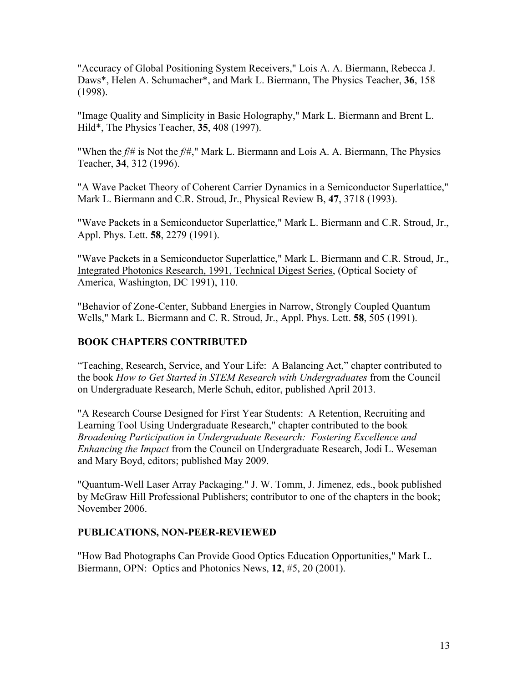"Accuracy of Global Positioning System Receivers," Lois A. A. Biermann, Rebecca J. Daws\*, Helen A. Schumacher\*, and Mark L. Biermann, The Physics Teacher, **36**, 158 (1998).

"Image Quality and Simplicity in Basic Holography," Mark L. Biermann and Brent L. Hild\*, The Physics Teacher, **35**, 408 (1997).

"When the *f*/# is Not the *f*/#," Mark L. Biermann and Lois A. A. Biermann, The Physics Teacher, **34**, 312 (1996).

"A Wave Packet Theory of Coherent Carrier Dynamics in a Semiconductor Superlattice," Mark L. Biermann and C.R. Stroud, Jr., Physical Review B, **47**, 3718 (1993).

"Wave Packets in a Semiconductor Superlattice," Mark L. Biermann and C.R. Stroud, Jr., Appl. Phys. Lett. **58**, 2279 (1991).

"Wave Packets in a Semiconductor Superlattice," Mark L. Biermann and C.R. Stroud, Jr., Integrated Photonics Research, 1991, Technical Digest Series, (Optical Society of America, Washington, DC 1991), 110.

"Behavior of Zone-Center, Subband Energies in Narrow, Strongly Coupled Quantum Wells," Mark L. Biermann and C. R. Stroud, Jr., Appl. Phys. Lett. **58**, 505 (1991).

# **BOOK CHAPTERS CONTRIBUTED**

"Teaching, Research, Service, and Your Life: A Balancing Act," chapter contributed to the book *How to Get Started in STEM Research with Undergraduates* from the Council on Undergraduate Research, Merle Schuh, editor, published April 2013.

"A Research Course Designed for First Year Students: A Retention, Recruiting and Learning Tool Using Undergraduate Research," chapter contributed to the book *Broadening Participation in Undergraduate Research: Fostering Excellence and Enhancing the Impact* from the Council on Undergraduate Research, Jodi L. Weseman and Mary Boyd, editors; published May 2009.

"Quantum-Well Laser Array Packaging." J. W. Tomm, J. Jimenez, eds., book published by McGraw Hill Professional Publishers; contributor to one of the chapters in the book; November 2006.

# **PUBLICATIONS, NON-PEER-REVIEWED**

"How Bad Photographs Can Provide Good Optics Education Opportunities," Mark L. Biermann, OPN: Optics and Photonics News, **12**, #5, 20 (2001).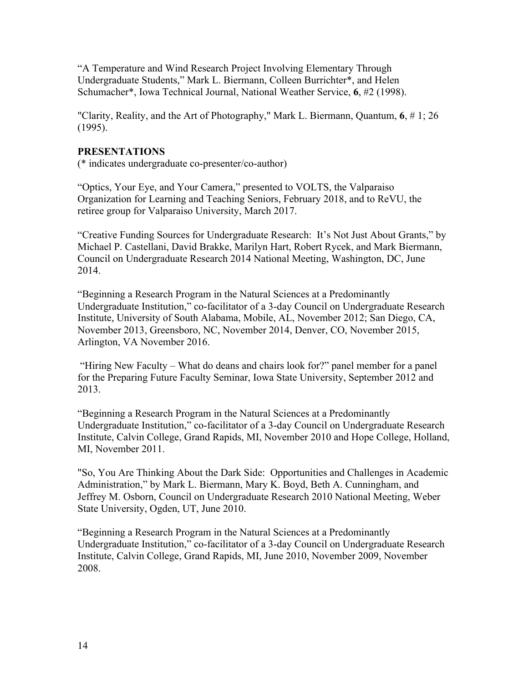"A Temperature and Wind Research Project Involving Elementary Through Undergraduate Students," Mark L. Biermann, Colleen Burrichter\*, and Helen Schumacher\*, Iowa Technical Journal, National Weather Service, **6**, #2 (1998).

"Clarity, Reality, and the Art of Photography," Mark L. Biermann, Quantum, **6**, # 1; 26 (1995).

# **PRESENTATIONS**

(\* indicates undergraduate co-presenter/co-author)

"Optics, Your Eye, and Your Camera," presented to VOLTS, the Valparaiso Organization for Learning and Teaching Seniors, February 2018, and to ReVU, the retiree group for Valparaiso University, March 2017.

"Creative Funding Sources for Undergraduate Research: It's Not Just About Grants," by Michael P. Castellani, David Brakke, Marilyn Hart, Robert Rycek, and Mark Biermann, Council on Undergraduate Research 2014 National Meeting, Washington, DC, June 2014.

"Beginning a Research Program in the Natural Sciences at a Predominantly Undergraduate Institution," co-facilitator of a 3-day Council on Undergraduate Research Institute, University of South Alabama, Mobile, AL, November 2012; San Diego, CA, November 2013, Greensboro, NC, November 2014, Denver, CO, November 2015, Arlington, VA November 2016.

"Hiring New Faculty – What do deans and chairs look for?" panel member for a panel for the Preparing Future Faculty Seminar, Iowa State University, September 2012 and 2013.

"Beginning a Research Program in the Natural Sciences at a Predominantly Undergraduate Institution," co-facilitator of a 3-day Council on Undergraduate Research Institute, Calvin College, Grand Rapids, MI, November 2010 and Hope College, Holland, MI, November 2011.

"So, You Are Thinking About the Dark Side: Opportunities and Challenges in Academic Administration," by Mark L. Biermann, Mary K. Boyd, Beth A. Cunningham, and Jeffrey M. Osborn, Council on Undergraduate Research 2010 National Meeting, Weber State University, Ogden, UT, June 2010.

"Beginning a Research Program in the Natural Sciences at a Predominantly Undergraduate Institution," co-facilitator of a 3-day Council on Undergraduate Research Institute, Calvin College, Grand Rapids, MI, June 2010, November 2009, November 2008.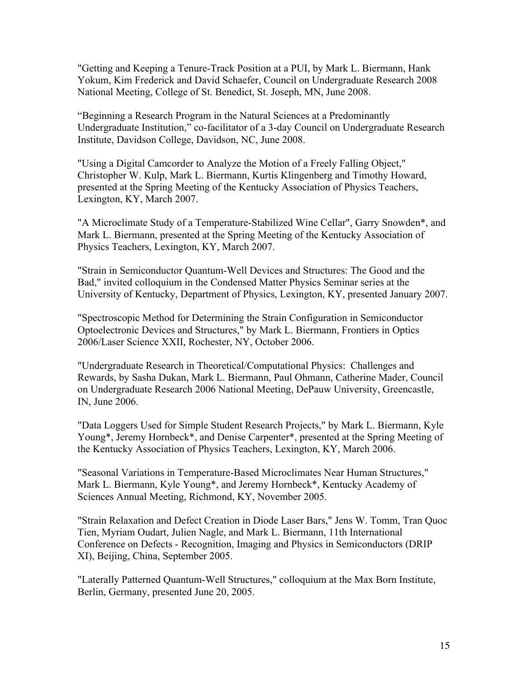"Getting and Keeping a Tenure-Track Position at a PUI, by Mark L. Biermann, Hank Yokum, Kim Frederick and David Schaefer, Council on Undergraduate Research 2008 National Meeting, College of St. Benedict, St. Joseph, MN, June 2008.

"Beginning a Research Program in the Natural Sciences at a Predominantly Undergraduate Institution," co-facilitator of a 3-day Council on Undergraduate Research Institute, Davidson College, Davidson, NC, June 2008.

"Using a Digital Camcorder to Analyze the Motion of a Freely Falling Object," Christopher W. Kulp, Mark L. Biermann, Kurtis Klingenberg and Timothy Howard, presented at the Spring Meeting of the Kentucky Association of Physics Teachers, Lexington, KY, March 2007.

"A Microclimate Study of a Temperature-Stabilized Wine Cellar", Garry Snowden\*, and Mark L. Biermann, presented at the Spring Meeting of the Kentucky Association of Physics Teachers, Lexington, KY, March 2007.

"Strain in Semiconductor Quantum-Well Devices and Structures: The Good and the Bad," invited colloquium in the Condensed Matter Physics Seminar series at the University of Kentucky, Department of Physics, Lexington, KY, presented January 2007.

"Spectroscopic Method for Determining the Strain Configuration in Semiconductor Optoelectronic Devices and Structures," by Mark L. Biermann, Frontiers in Optics 2006/Laser Science XXII, Rochester, NY, October 2006.

"Undergraduate Research in Theoretical/Computational Physics: Challenges and Rewards, by Sasha Dukan, Mark L. Biermann, Paul Ohmann, Catherine Mader, Council on Undergraduate Research 2006 National Meeting, DePauw University, Greencastle, IN, June 2006.

"Data Loggers Used for Simple Student Research Projects," by Mark L. Biermann, Kyle Young\*, Jeremy Hornbeck\*, and Denise Carpenter\*, presented at the Spring Meeting of the Kentucky Association of Physics Teachers, Lexington, KY, March 2006.

"Seasonal Variations in Temperature-Based Microclimates Near Human Structures," Mark L. Biermann, Kyle Young\*, and Jeremy Hornbeck\*, Kentucky Academy of Sciences Annual Meeting, Richmond, KY, November 2005.

"Strain Relaxation and Defect Creation in Diode Laser Bars," Jens W. Tomm, Tran Quoc Tien, Myriam Oudart, Julien Nagle, and Mark L. Biermann, 11th International Conference on Defects - Recognition, Imaging and Physics in Semiconductors (DRIP XI), Beijing, China, September 2005.

"Laterally Patterned Quantum-Well Structures," colloquium at the Max Born Institute, Berlin, Germany, presented June 20, 2005.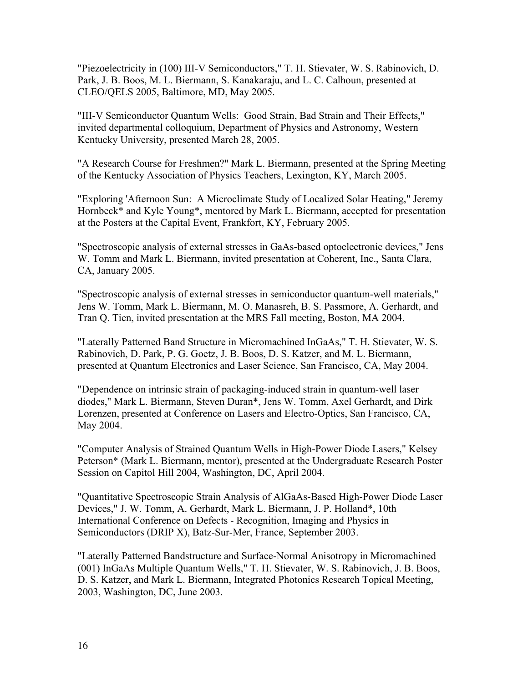"Piezoelectricity in (100) III-V Semiconductors," T. H. Stievater, W. S. Rabinovich, D. Park, J. B. Boos, M. L. Biermann, S. Kanakaraju, and L. C. Calhoun, presented at CLEO/QELS 2005, Baltimore, MD, May 2005.

"III-V Semiconductor Quantum Wells: Good Strain, Bad Strain and Their Effects," invited departmental colloquium, Department of Physics and Astronomy, Western Kentucky University, presented March 28, 2005.

"A Research Course for Freshmen?" Mark L. Biermann, presented at the Spring Meeting of the Kentucky Association of Physics Teachers, Lexington, KY, March 2005.

"Exploring 'Afternoon Sun: A Microclimate Study of Localized Solar Heating," Jeremy Hornbeck\* and Kyle Young\*, mentored by Mark L. Biermann, accepted for presentation at the Posters at the Capital Event, Frankfort, KY, February 2005.

"Spectroscopic analysis of external stresses in GaAs-based optoelectronic devices," Jens W. Tomm and Mark L. Biermann, invited presentation at Coherent, Inc., Santa Clara, CA, January 2005.

"Spectroscopic analysis of external stresses in semiconductor quantum-well materials," Jens W. Tomm, Mark L. Biermann, M. O. Manasreh, B. S. Passmore, A. Gerhardt, and Tran Q. Tien, invited presentation at the MRS Fall meeting, Boston, MA 2004.

"Laterally Patterned Band Structure in Micromachined InGaAs," T. H. Stievater, W. S. Rabinovich, D. Park, P. G. Goetz, J. B. Boos, D. S. Katzer, and M. L. Biermann, presented at Quantum Electronics and Laser Science, San Francisco, CA, May 2004.

"Dependence on intrinsic strain of packaging-induced strain in quantum-well laser diodes," Mark L. Biermann, Steven Duran\*, Jens W. Tomm, Axel Gerhardt, and Dirk Lorenzen, presented at Conference on Lasers and Electro-Optics, San Francisco, CA, May 2004.

"Computer Analysis of Strained Quantum Wells in High-Power Diode Lasers," Kelsey Peterson\* (Mark L. Biermann, mentor), presented at the Undergraduate Research Poster Session on Capitol Hill 2004, Washington, DC, April 2004.

"Quantitative Spectroscopic Strain Analysis of AlGaAs-Based High-Power Diode Laser Devices," J. W. Tomm, A. Gerhardt, Mark L. Biermann, J. P. Holland\*, 10th International Conference on Defects - Recognition, Imaging and Physics in Semiconductors (DRIP X), Batz-Sur-Mer, France, September 2003.

"Laterally Patterned Bandstructure and Surface-Normal Anisotropy in Micromachined (001) InGaAs Multiple Quantum Wells," T. H. Stievater, W. S. Rabinovich, J. B. Boos, D. S. Katzer, and Mark L. Biermann, Integrated Photonics Research Topical Meeting, 2003, Washington, DC, June 2003.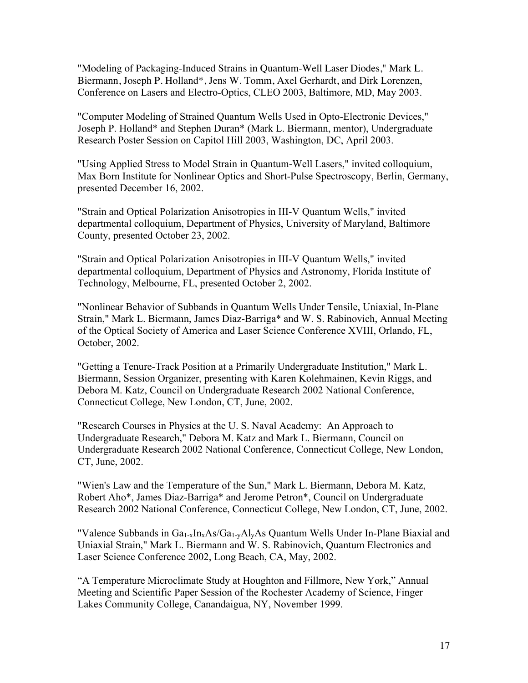"Modeling of Packaging-Induced Strains in Quantum-Well Laser Diodes," Mark L. Biermann, Joseph P. Holland\*, Jens W. Tomm, Axel Gerhardt, and Dirk Lorenzen, Conference on Lasers and Electro-Optics, CLEO 2003, Baltimore, MD, May 2003.

"Computer Modeling of Strained Quantum Wells Used in Opto-Electronic Devices," Joseph P. Holland\* and Stephen Duran\* (Mark L. Biermann, mentor), Undergraduate Research Poster Session on Capitol Hill 2003, Washington, DC, April 2003.

"Using Applied Stress to Model Strain in Quantum-Well Lasers," invited colloquium, Max Born Institute for Nonlinear Optics and Short-Pulse Spectroscopy, Berlin, Germany, presented December 16, 2002.

"Strain and Optical Polarization Anisotropies in III-V Quantum Wells," invited departmental colloquium, Department of Physics, University of Maryland, Baltimore County, presented October 23, 2002.

"Strain and Optical Polarization Anisotropies in III-V Quantum Wells," invited departmental colloquium, Department of Physics and Astronomy, Florida Institute of Technology, Melbourne, FL, presented October 2, 2002.

"Nonlinear Behavior of Subbands in Quantum Wells Under Tensile, Uniaxial, In-Plane Strain," Mark L. Biermann, James Diaz-Barriga\* and W. S. Rabinovich, Annual Meeting of the Optical Society of America and Laser Science Conference XVIII, Orlando, FL, October, 2002.

"Getting a Tenure-Track Position at a Primarily Undergraduate Institution," Mark L. Biermann, Session Organizer, presenting with Karen Kolehmainen, Kevin Riggs, and Debora M. Katz, Council on Undergraduate Research 2002 National Conference, Connecticut College, New London, CT, June, 2002.

"Research Courses in Physics at the U. S. Naval Academy: An Approach to Undergraduate Research," Debora M. Katz and Mark L. Biermann, Council on Undergraduate Research 2002 National Conference, Connecticut College, New London, CT, June, 2002.

"Wien's Law and the Temperature of the Sun," Mark L. Biermann, Debora M. Katz, Robert Aho\*, James Diaz-Barriga\* and Jerome Petron\*, Council on Undergraduate Research 2002 National Conference, Connecticut College, New London, CT, June, 2002.

"Valence Subbands in  $Ga_{1-x}In_xAs/Ga_{1-y}Al_yAs$  Quantum Wells Under In-Plane Biaxial and Uniaxial Strain," Mark L. Biermann and W. S. Rabinovich, Quantum Electronics and Laser Science Conference 2002, Long Beach, CA, May, 2002.

"A Temperature Microclimate Study at Houghton and Fillmore, New York," Annual Meeting and Scientific Paper Session of the Rochester Academy of Science, Finger Lakes Community College, Canandaigua, NY, November 1999.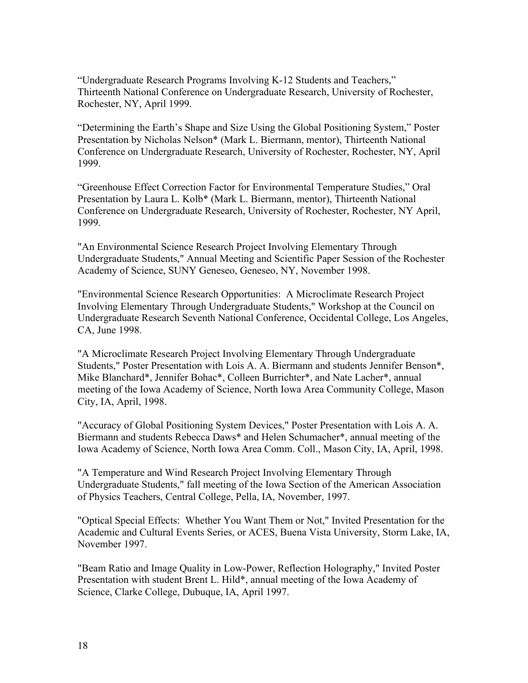"Undergraduate Research Programs Involving K-12 Students and Teachers," Thirteenth National Conference on Undergraduate Research, University of Rochester, Rochester, NY, April 1999.

"Determining the Earth's Shape and Size Using the Global Positioning System," Poster Presentation by Nicholas Nelson\* (Mark L. Biermann, mentor), Thirteenth National Conference on Undergraduate Research, University of Rochester, Rochester, NY, April 1999.

"Greenhouse Effect Correction Factor for Environmental Temperature Studies," Oral Presentation by Laura L. Kolb\* (Mark L. Biermann, mentor), Thirteenth National Conference on Undergraduate Research, University of Rochester, Rochester, NY April, 1999.

"An Environmental Science Research Project Involving Elementary Through Undergraduate Students," Annual Meeting and Scientific Paper Session of the Rochester Academy of Science, SUNY Geneseo, Geneseo, NY, November 1998.

"Environmental Science Research Opportunities: A Microclimate Research Project Involving Elementary Through Undergraduate Students," Workshop at the Council on Undergraduate Research Seventh National Conference, Occidental College, Los Angeles, CA, June 1998.

"A Microclimate Research Project Involving Elementary Through Undergraduate Students," Poster Presentation with Lois A. A. Biermann and students Jennifer Benson\*, Mike Blanchard\*, Jennifer Bohac\*, Colleen Burrichter\*, and Nate Lacher\*, annual meeting of the Iowa Academy of Science, North Iowa Area Community College, Mason City, IA, April, 1998.

"Accuracy of Global Positioning System Devices," Poster Presentation with Lois A. A. Biermann and students Rebecca Daws\* and Helen Schumacher\*, annual meeting of the Iowa Academy of Science, North Iowa Area Comm. Coll., Mason City, IA, April, 1998.

"A Temperature and Wind Research Project Involving Elementary Through Undergraduate Students," fall meeting of the Iowa Section of the American Association of Physics Teachers, Central College, Pella, IA, November, 1997.

"Optical Special Effects: Whether You Want Them or Not," Invited Presentation for the Academic and Cultural Events Series, or ACES, Buena Vista University, Storm Lake, IA, November 1997.

"Beam Ratio and Image Quality in Low-Power, Reflection Holography," Invited Poster Presentation with student Brent L. Hild\*, annual meeting of the Iowa Academy of Science, Clarke College, Dubuque, IA, April 1997.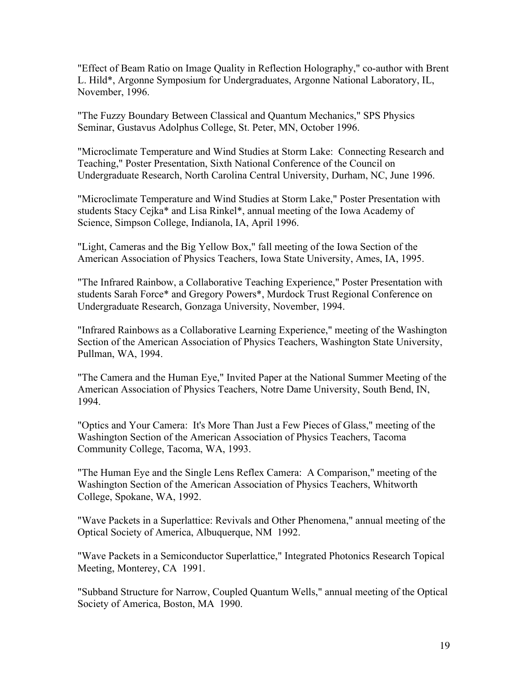"Effect of Beam Ratio on Image Quality in Reflection Holography," co-author with Brent L. Hild\*, Argonne Symposium for Undergraduates, Argonne National Laboratory, IL, November, 1996.

"The Fuzzy Boundary Between Classical and Quantum Mechanics," SPS Physics Seminar, Gustavus Adolphus College, St. Peter, MN, October 1996.

"Microclimate Temperature and Wind Studies at Storm Lake: Connecting Research and Teaching," Poster Presentation, Sixth National Conference of the Council on Undergraduate Research, North Carolina Central University, Durham, NC, June 1996.

"Microclimate Temperature and Wind Studies at Storm Lake," Poster Presentation with students Stacy Cejka\* and Lisa Rinkel\*, annual meeting of the Iowa Academy of Science, Simpson College, Indianola, IA, April 1996.

"Light, Cameras and the Big Yellow Box," fall meeting of the Iowa Section of the American Association of Physics Teachers, Iowa State University, Ames, IA, 1995.

"The Infrared Rainbow, a Collaborative Teaching Experience," Poster Presentation with students Sarah Force\* and Gregory Powers\*, Murdock Trust Regional Conference on Undergraduate Research, Gonzaga University, November, 1994.

"Infrared Rainbows as a Collaborative Learning Experience," meeting of the Washington Section of the American Association of Physics Teachers, Washington State University, Pullman, WA, 1994.

"The Camera and the Human Eye," Invited Paper at the National Summer Meeting of the American Association of Physics Teachers, Notre Dame University, South Bend, IN, 1994.

"Optics and Your Camera: It's More Than Just a Few Pieces of Glass," meeting of the Washington Section of the American Association of Physics Teachers, Tacoma Community College, Tacoma, WA, 1993.

"The Human Eye and the Single Lens Reflex Camera: A Comparison," meeting of the Washington Section of the American Association of Physics Teachers, Whitworth College, Spokane, WA, 1992.

"Wave Packets in a Superlattice: Revivals and Other Phenomena," annual meeting of the Optical Society of America, Albuquerque, NM 1992.

"Wave Packets in a Semiconductor Superlattice," Integrated Photonics Research Topical Meeting, Monterey, CA 1991.

"Subband Structure for Narrow, Coupled Quantum Wells," annual meeting of the Optical Society of America, Boston, MA 1990.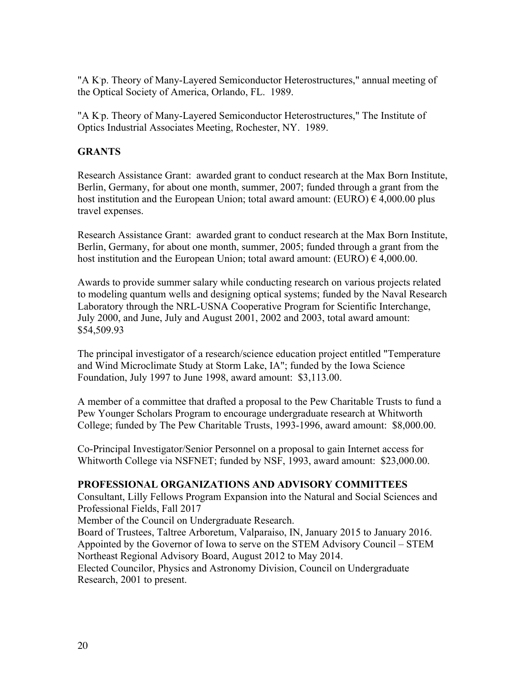"A K<sup>p</sup>. Theory of Many-Layered Semiconductor Heterostructures," annual meeting of the Optical Society of America, Orlando, FL. 1989.

"A K p. Theory of Many-Layered Semiconductor Heterostructures," The Institute of Optics Industrial Associates Meeting, Rochester, NY. 1989.

# **GRANTS**

Research Assistance Grant: awarded grant to conduct research at the Max Born Institute, Berlin, Germany, for about one month, summer, 2007; funded through a grant from the host institution and the European Union; total award amount: (EURO)  $\epsilon$  4,000.00 plus travel expenses.

Research Assistance Grant: awarded grant to conduct research at the Max Born Institute, Berlin, Germany, for about one month, summer, 2005; funded through a grant from the host institution and the European Union; total award amount: (EURO)  $\epsilon$  4,000.00.

Awards to provide summer salary while conducting research on various projects related to modeling quantum wells and designing optical systems; funded by the Naval Research Laboratory through the NRL-USNA Cooperative Program for Scientific Interchange, July 2000, and June, July and August 2001, 2002 and 2003, total award amount: \$54,509.93

The principal investigator of a research/science education project entitled "Temperature and Wind Microclimate Study at Storm Lake, IA"; funded by the Iowa Science Foundation, July 1997 to June 1998, award amount: \$3,113.00.

A member of a committee that drafted a proposal to the Pew Charitable Trusts to fund a Pew Younger Scholars Program to encourage undergraduate research at Whitworth College; funded by The Pew Charitable Trusts, 1993-1996, award amount: \$8,000.00.

Co-Principal Investigator/Senior Personnel on a proposal to gain Internet access for Whitworth College via NSFNET; funded by NSF, 1993, award amount: \$23,000.00.

# **PROFESSIONAL ORGANIZATIONS AND ADVISORY COMMITTEES**

Consultant, Lilly Fellows Program Expansion into the Natural and Social Sciences and Professional Fields, Fall 2017

Member of the Council on Undergraduate Research.

Board of Trustees, Taltree Arboretum, Valparaiso, IN, January 2015 to January 2016. Appointed by the Governor of Iowa to serve on the STEM Advisory Council – STEM Northeast Regional Advisory Board, August 2012 to May 2014.

Elected Councilor, Physics and Astronomy Division, Council on Undergraduate Research, 2001 to present.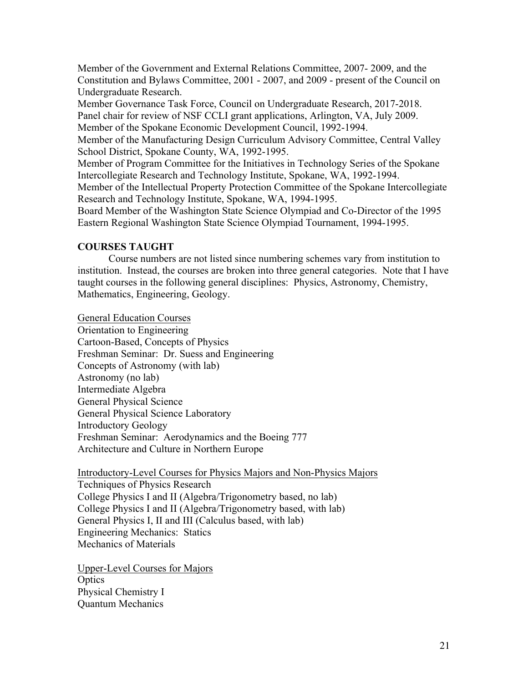Member of the Government and External Relations Committee, 2007- 2009, and the Constitution and Bylaws Committee, 2001 - 2007, and 2009 - present of the Council on Undergraduate Research.

Member Governance Task Force, Council on Undergraduate Research, 2017-2018. Panel chair for review of NSF CCLI grant applications, Arlington, VA, July 2009. Member of the Spokane Economic Development Council, 1992-1994.

Member of the Manufacturing Design Curriculum Advisory Committee, Central Valley School District, Spokane County, WA, 1992-1995.

Member of Program Committee for the Initiatives in Technology Series of the Spokane Intercollegiate Research and Technology Institute, Spokane, WA, 1992-1994.

Member of the Intellectual Property Protection Committee of the Spokane Intercollegiate Research and Technology Institute, Spokane, WA, 1994-1995.

Board Member of the Washington State Science Olympiad and Co-Director of the 1995 Eastern Regional Washington State Science Olympiad Tournament, 1994-1995.

# **COURSES TAUGHT**

Course numbers are not listed since numbering schemes vary from institution to institution. Instead, the courses are broken into three general categories. Note that I have taught courses in the following general disciplines: Physics, Astronomy, Chemistry, Mathematics, Engineering, Geology.

General Education Courses

Orientation to Engineering Cartoon-Based, Concepts of Physics Freshman Seminar: Dr. Suess and Engineering Concepts of Astronomy (with lab) Astronomy (no lab) Intermediate Algebra General Physical Science General Physical Science Laboratory Introductory Geology Freshman Seminar: Aerodynamics and the Boeing 777 Architecture and Culture in Northern Europe

Introductory-Level Courses for Physics Majors and Non-Physics Majors Techniques of Physics Research College Physics I and II (Algebra/Trigonometry based, no lab) College Physics I and II (Algebra/Trigonometry based, with lab) General Physics I, II and III (Calculus based, with lab) Engineering Mechanics: Statics Mechanics of Materials

Upper-Level Courses for Majors **Optics** Physical Chemistry I Quantum Mechanics